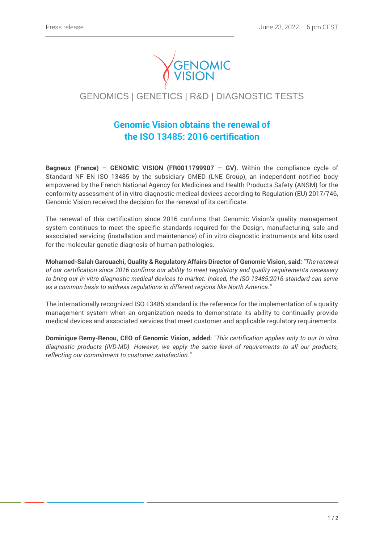

# GENOMICS | GENETICS | R&D | DIAGNOSTIC TESTS

# **Genomic Vision obtains the renewal of the ISO 13485: 2016 certification**

**Bagneux (France) – GENOMIC VISION (FR0011799907 – GV).** Within the compliance cycle of Standard NF EN ISO 13485 by the subsidiary GMED (LNE Group), an independent notified body empowered by the French National Agency for Medicines and Health Products Safety (ANSM) for the conformity assessment of in vitro diagnostic medical devices according to Regulation (EU) 2017/746, Genomic Vision received the decision for the renewal of its certificate.

The renewal of this certification since 2016 confirms that Genomic Vision's quality management system continues to meet the specific standards required for the Design, manufacturing, sale and associated servicing (installation and maintenance) of in vitro diagnostic instruments and kits used for the molecular genetic diagnosis of human pathologies.

**Mohamed-Salah Garouachi, Quality & Regulatory Affairs Director of Genomic Vision, said:** *"The renewal of our certification since 2016 confirms our ability to meet regulatory and quality requirements necessary to bring our in vitro diagnostic medical devices to market. Indeed, the ISO 13485:2016 standard can serve as a common basis to address regulations in different regions like North America."*

The internationally recognized ISO 13485 standard is the reference for the implementation of a quality management system when an organization needs to demonstrate its ability to continually provide medical devices and associated services that meet customer and applicable regulatory requirements.

**Dominique Remy-Renou, CEO of Genomic Vision, added:** *"This certification applies only to our In vitro diagnostic products (IVD-MD). However, we apply the same level of requirements to all our products, reflecting our commitment to customer satisfaction."*